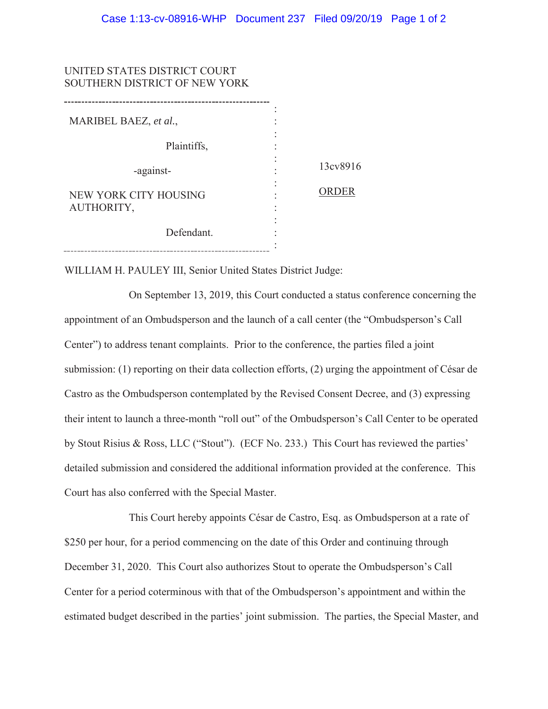| UNITED STATES DISTRICT COURT<br>SOUTHERN DISTRICT OF NEW YORK |          |
|---------------------------------------------------------------|----------|
| MARIBEL BAEZ, et al.,                                         |          |
| Plaintiffs,                                                   |          |
| -against-                                                     | 13cv8916 |
| NEW YORK CITY HOUSING<br>AUTHORITY,                           | ORDER    |
| Defendant.                                                    |          |

WILLIAM H. PAULEY III, Senior United States District Judge:

On September 13, 2019, this Court conducted a status conference concerning the appointment of an Ombudsperson and the launch of a call center (the "Ombudsperson's Call Center") to address tenant complaints. Prior to the conference, the parties filed a joint submission: (1) reporting on their data collection efforts, (2) urging the appointment of César de Castro as the Ombudsperson contemplated by the Revised Consent Decree, and (3) expressing their intent to launch a three-month "roll out" of the Ombudsperson's Call Center to be operated by Stout Risius & Ross, LLC ("Stout"). (ECF No. 233.) This Court has reviewed the parties' detailed submission and considered the additional information provided at the conference. This Court has also conferred with the Special Master.

This Court hereby appoints César de Castro, Esq. as Ombudsperson at a rate of \$250 per hour, for a period commencing on the date of this Order and continuing through December 31, 2020. This Court also authorizes Stout to operate the Ombudsperson's Call Center for a period coterminous with that of the Ombudsperson's appointment and within the estimated budget described in the parties' joint submission. The parties, the Special Master, and